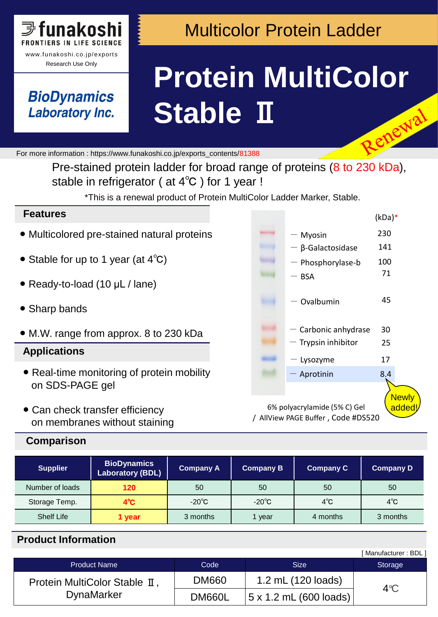

www.funakoshi.co.jp/exports Research Use Only

#### **BioDynamics Laboratory Inc.**

### Multicolor Protein Ladder

# **Protein MultiColor Stable** Ⅱ Renewal

For more information : https://www.funakoshi.co.jp/exports\_contents/81388

Pre-stained protein ladder for broad range of proteins (8 to 230 kDa), stable in refrigerator (at 4<sup>°</sup>C) for 1 year !

\*This is a renewal product of Protein MultiColor Ladder Marker, Stable.

#### **Features**

- Multicolored pre-stained natural proteins
- Stable for up to 1 year (at 4<sup>°</sup>C)
- Ready-to-load (10 μL / lane)
- Sharp bands
- M.W. range from approx. 8 to 230 kDa

#### **Applications**

- Real-time monitoring of protein mobility on SDS-PAGE gel
- Can check transfer efficiency on membranes without staining

#### **Comparison**

| <b>Supplier</b>   | <b>BioDynamics</b><br><b>Laboratory (BDL)</b> | <b>Company A</b> | <b>Company B</b> | <b>Company C</b> ∣ | <b>Company D</b>  |
|-------------------|-----------------------------------------------|------------------|------------------|--------------------|-------------------|
| Number of loads   | 120                                           | 50               | 50               | 50                 | 50                |
| Storage Temp.     | $4^\circ\text{C}$                             | $-20^{\circ}$ C  | $-20^{\circ}$ C  | $4^\circ\text{C}$  | $4^\circ\text{C}$ |
| <b>Shelf Life</b> | 1 year                                        | 3 months         | year             | 4 months           | 3 months          |

#### **Product Information**

|                               |               |                               | [Manufacturer: BDL] |
|-------------------------------|---------------|-------------------------------|---------------------|
| <b>Product Name</b>           | Code          | Size:                         | Storage             |
| Protein MultiColor Stable II, | <b>DM660</b>  | 1.2 mL (120 loads)            | $4^\circ\text{C}$   |
| <b>DynaMarker</b>             | <b>DM660L</b> | $5 \times 1.2$ mL (600 loads) |                     |

|                              | (kDa)* |                        |
|------------------------------|--------|------------------------|
| - Myosin                     | 230    |                        |
| $-$ β-Galactosidase          | 141    |                        |
| Phosphorylase-b              | 100    |                        |
| <b>BSA</b>                   | 71     |                        |
| Ovalbumin                    | 45     |                        |
| Carbonic anhydrase           | 30     |                        |
| - Trypsin inhibitor          | 25     |                        |
| - Lysozyme                   | 17     |                        |
| Aprotinin                    | 8.4    |                        |
| 6% polyacrylamide (5% C) Gel |        | <b>Newly</b><br>added! |

/ AllView PAGE Buffer , Code #DS520